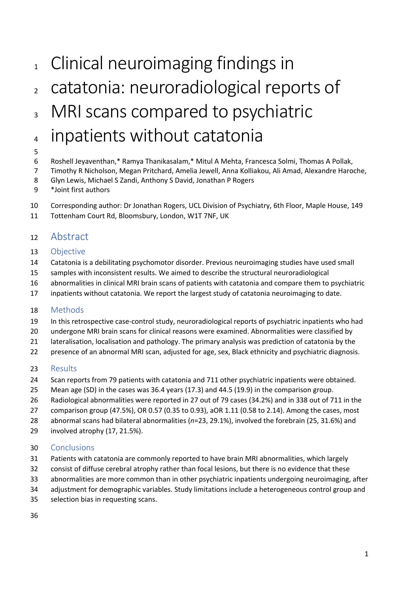# <sup>1</sup> Clinical neuroimaging findings in

- catatonia: neuroradiological reports of
- <sup>3</sup> MRI scans compared to psychiatric
- inpatients without catatonia
- 

#### Roshell Jeyaventhan,\* Ramya Thanikasalam,\* Mitul A Mehta, Francesca Solmi, Thomas A Pollak,

- Timothy R Nicholson, Megan Pritchard, Amelia Jewell, Anna Kolliakou, Ali Amad, Alexandre Haroche,
- Glyn Lewis, Michael S Zandi, Anthony S David, Jonathan P Rogers
- \*Joint first authors
- Corresponding author: Dr Jonathan Rogers, UCL Division of Psychiatry, 6th Floor, Maple House, 149
- Tottenham Court Rd, Bloomsbury, London, W1T 7NF, UK

## Abstract

#### Objective

- Catatonia is a debilitating psychomotor disorder. Previous neuroimaging studies have used small
- samples with inconsistent results. We aimed to describe the structural neuroradiological
- abnormalities in clinical MRI brain scans of patients with catatonia and compare them to psychiatric
- inpatients without catatonia. We report the largest study of catatonia neuroimaging to date.

#### Methods

- In this retrospective case-control study, neuroradiological reports of psychiatric inpatients who had
- undergone MRI brain scans for clinical reasons were examined. Abnormalities were classified by
- lateralisation, localisation and pathology. The primary analysis was prediction of catatonia by the
- 22 presence of an abnormal MRI scan, adjusted for age, sex, Black ethnicity and psychiatric diagnosis.

## Results

- 24 Scan reports from 79 patients with catatonia and 711 other psychiatric inpatients were obtained.
- Mean age (SD) in the cases was 36.4 years (17.3) and 44.5 (19.9) in the comparison group.
- Radiological abnormalities were reported in 27 out of 79 cases (34.2%) and in 338 out of 711 in the
- comparison group (47.5%), OR 0.57 (0.35 to 0.93), aOR 1.11 (0.58 to 2.14). Among the cases, most
- abnormal scans had bilateral abnormalities (*n*=23, 29.1%), involved the forebrain (25, 31.6%) and
- involved atrophy (17, 21.5%).

#### Conclusions

- Patients with catatonia are commonly reported to have brain MRI abnormalities, which largely
- consist of diffuse cerebral atrophy rather than focal lesions, but there is no evidence that these
- abnormalities are more common than in other psychiatric inpatients undergoing neuroimaging, after
- adjustment for demographic variables. Study limitations include a heterogeneous control group and
- selection bias in requesting scans.
-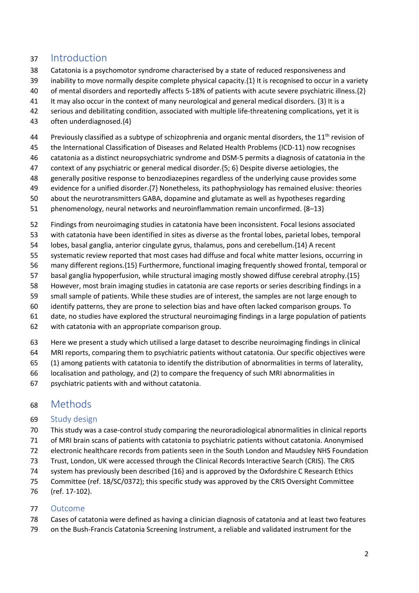# Introduction

- Catatonia is a psychomotor syndrome characterised by a state of reduced responsiveness and
- 39 inability to move normally despite complete physical capacity. $\{1\}$  It is recognised to occur in a variety
- of mental disorders and reportedly affects 5-18% of patients with acute severe psychiatric illness.{2}
- It may also occur in the context of many neurological and general medical disorders. {3} It is a
- serious and debilitating condition, associated with multiple life-threatening complications, yet it is
- often underdiagnosed.{4}
- 44 Previously classified as a subtype of schizophrenia and organic mental disorders, the 11<sup>th</sup> revision of
- the International Classification of Diseases and Related Health Problems (ICD-11) now recognises
- catatonia as a distinct neuropsychiatric syndrome and DSM-5 permits a diagnosis of catatonia in the
- context of any psychiatric or general medical disorder.{5; 6} Despite diverse aetiologies, the
- generally positive response to benzodiazepines regardless of the underlying cause provides some
- evidence for a unified disorder.{7} Nonetheless, its pathophysiology has remained elusive: theories
- about the neurotransmitters GABA, dopamine and glutamate as well as hypotheses regarding
- phenomenology, neural networks and neuroinflammation remain unconfirmed. {8–13}
- Findings from neuroimaging studies in catatonia have been inconsistent. Focal lesions associated
- with catatonia have been identified in sites as diverse as the frontal lobes, parietal lobes, temporal
- lobes, basal ganglia, anterior cingulate gyrus, thalamus, pons and cerebellum.{14} A recent
- systematic review reported that most cases had diffuse and focal white matter lesions, occurring in
- many different regions.{15} Furthermore, functional imaging frequently showed frontal, temporal or
- basal ganglia hypoperfusion, while structural imaging mostly showed diffuse cerebral atrophy.{15}
- However, most brain imaging studies in catatonia are case reports or series describing findings in a
- small sample of patients. While these studies are of interest, the samples are not large enough to
- identify patterns, they are prone to selection bias and have often lacked comparison groups. To
- date, no studies have explored the structural neuroimaging findings in a large population of patients
- with catatonia with an appropriate comparison group.
- Here we present a study which utilised a large dataset to describe neuroimaging findings in clinical
- MRI reports, comparing them to psychiatric patients without catatonia. Our specific objectives were
- (1) among patients with catatonia to identify the distribution of abnormalities in terms of laterality,
- localisation and pathology, and (2) to compare the frequency of such MRI abnormalities in
- psychiatric patients with and without catatonia.

# Methods

#### Study design

- This study was a case-control study comparing the neuroradiological abnormalities in clinical reports
- of MRI brain scans of patients with catatonia to psychiatric patients without catatonia. Anonymised
- electronic healthcare records from patients seen in the South London and Maudsley NHS Foundation
- Trust, London, UK were accessed through the Clinical Records Interactive Search (CRIS). The CRIS
- 74 system has previously been described {16} and is approved by the Oxfordshire C Research Ethics
- Committee (ref. 18/SC/0372); this specific study was approved by the CRIS Oversight Committee
- (ref. 17-102).

#### Outcome

- Cases of catatonia were defined as having a clinician diagnosis of catatonia and at least two features
- on the Bush-Francis Catatonia Screening Instrument, a reliable and validated instrument for the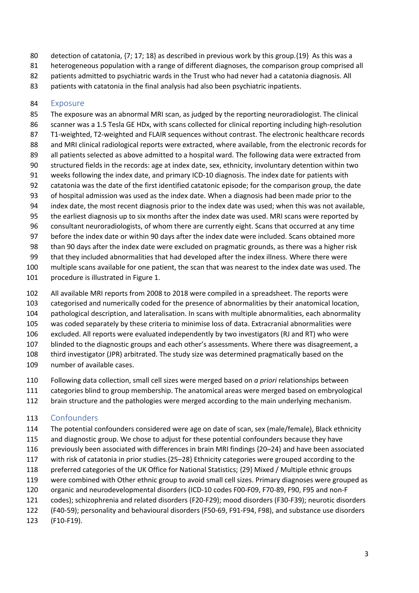- 80 detection of catatonia,  $\{7; 17; 18\}$  as described in previous work by this group. $\{19\}$  As this was a
- 81 heterogeneous population with a range of different diagnoses, the comparison group comprised all
- patients admitted to psychiatric wards in the Trust who had never had a catatonia diagnosis. All
- patients with catatonia in the final analysis had also been psychiatric inpatients.

#### Exposure

 The exposure was an abnormal MRI scan, as judged by the reporting neuroradiologist. The clinical scanner was a 1.5 Tesla GE HDx, with scans collected for clinical reporting including high-resolution T1-weighted, T2-weighted and FLAIR sequences without contrast. The electronic healthcare records 88 and MRI clinical radiological reports were extracted, where available, from the electronic records for all patients selected as above admitted to a hospital ward. The following data were extracted from structured fields in the records: age at index date, sex, ethnicity, involuntary detention within two weeks following the index date, and primary ICD-10 diagnosis. The index date for patients with catatonia was the date of the first identified catatonic episode; for the comparison group, the date of hospital admission was used as the index date. When a diagnosis had been made prior to the index date, the most recent diagnosis prior to the index date was used; when this was not available, the earliest diagnosis up to six months after the index date was used. MRI scans were reported by consultant neuroradiologists, of whom there are currently eight. Scans that occurred at any time before the index date or within 90 days after the index date were included. Scans obtained more than 90 days after the index date were excluded on pragmatic grounds, as there was a higher risk that they included abnormalities that had developed after the index illness. Where there were multiple scans available for one patient, the scan that was nearest to the index date was used. The

- procedure is illustrated in Figure 1.
- All available MRI reports from 2008 to 2018 were compiled in a spreadsheet. The reports were
- categorised and numerically coded for the presence of abnormalities by their anatomical location,
- pathological description, and lateralisation. In scans with multiple abnormalities, each abnormality
- was coded separately by these criteria to minimise loss of data. Extracranial abnormalities were
- excluded. All reports were evaluated independently by two investigators (RJ and RT) who were
- blinded to the diagnostic groups and each other's assessments. Where there was disagreement, a
- third investigator (JPR) arbitrated. The study size was determined pragmatically based on the
- number of available cases.
- Following data collection, small cell sizes were merged based on *a priori* relationships between
- categories blind to group membership. The anatomical areas were merged based on embryological
- brain structure and the pathologies were merged according to the main underlying mechanism.

## Confounders

- The potential confounders considered were age on date of scan, sex (male/female), Black ethnicity
- 115 and diagnostic group. We chose to adjust for these potential confounders because they have
- previously been associated with differences in brain MRI findings {20–24} and have been associated
- with risk of catatonia in prior studies.{25–28} Ethnicity categories were grouped according to the
- preferred categories of the UK Office for National Statistics; {29} Mixed / Multiple ethnic groups
- were combined with Other ethnic group to avoid small cell sizes. Primary diagnoses were grouped as
- organic and neurodevelopmental disorders (ICD-10 codes F00-F09, F70-89, F90, F95 and non-F
- codes); schizophrenia and related disorders (F20-F29); mood disorders (F30-F39); neurotic disorders
- (F40-59); personality and behavioural disorders (F50-69, F91-F94, F98), and substance use disorders
- (F10-F19).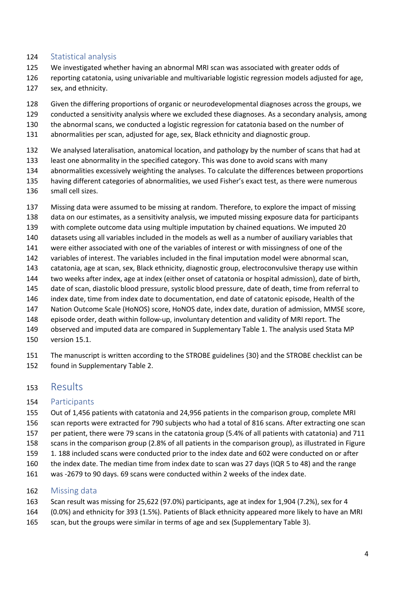#### Statistical analysis

- We investigated whether having an abnormal MRI scan was associated with greater odds of
- reporting catatonia, using univariable and multivariable logistic regression models adjusted for age,
- sex, and ethnicity.
- Given the differing proportions of organic or neurodevelopmental diagnoses across the groups, we
- conducted a sensitivity analysis where we excluded these diagnoses. As a secondary analysis, among
- the abnormal scans, we conducted a logistic regression for catatonia based on the number of
- abnormalities per scan, adjusted for age, sex, Black ethnicity and diagnostic group.
- We analysed lateralisation, anatomical location, and pathology by the number of scans that had at
- least one abnormality in the specified category. This was done to avoid scans with many
- abnormalities excessively weighting the analyses. To calculate the differences between proportions
- having different categories of abnormalities, we used Fisher's exact test, as there were numerous
- small cell sizes.
- Missing data were assumed to be missing at random. Therefore, to explore the impact of missing
- data on our estimates, as a sensitivity analysis, we imputed missing exposure data for participants
- with complete outcome data using multiple imputation by chained equations. We imputed 20
- datasets using all variables included in the models as well as a number of auxiliary variables that
- were either associated with one of the variables of interest or with missingness of one of the
- variables of interest. The variables included in the final imputation model were abnormal scan,
- catatonia, age at scan, sex, Black ethnicity, diagnostic group, electroconvulsive therapy use within
- two weeks after index, age at index (either onset of catatonia or hospital admission), date of birth,
- date of scan, diastolic blood pressure, systolic blood pressure, date of death, time from referral to index date, time from index date to documentation, end date of catatonic episode, Health of the
- Nation Outcome Scale (HoNOS) score, HoNOS date, index date, duration of admission, MMSE score,
- episode order, death within follow-up, involuntary detention and validity of MRI report. The
- observed and imputed data are compared in Supplementary Table 1. The analysis used Stata MP
- version 15.1.

 The manuscript is written according to the STROBE guidelines {30} and the STROBE checklist can be found in Supplementary Table 2.

## Results

#### Participants

- Out of 1,456 patients with catatonia and 24,956 patients in the comparison group, complete MRI
- scan reports were extracted for 790 subjects who had a total of 816 scans. After extracting one scan
- per patient, there were 79 scans in the catatonia group (5.4% of all patients with catatonia) and 711
- scans in the comparison group (2.8% of all patients in the comparison group), as illustrated in Figure
- 1. 188 included scans were conducted prior to the index date and 602 were conducted on or after
- the index date. The median time from index date to scan was 27 days (IQR 5 to 48) and the range
- was -2679 to 90 days. 69 scans were conducted within 2 weeks of the index date.

#### Missing data

- Scan result was missing for 25,622 (97.0%) participants, age at index for 1,904 (7.2%), sex for 4
- (0.0%) and ethnicity for 393 (1.5%). Patients of Black ethnicity appeared more likely to have an MRI
- 165 scan, but the groups were similar in terms of age and sex (Supplementary Table 3).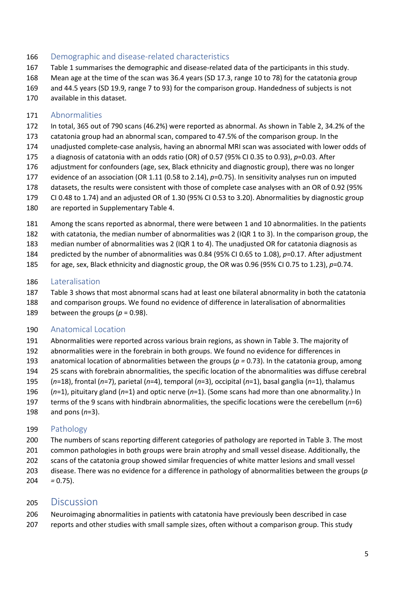#### 166 Demographic and disease-related characteristics

- Table 1 summarises the demographic and disease-related data of the participants in this study.
- Mean age at the time of the scan was 36.4 years (SD 17.3, range 10 to 78) for the catatonia group
- and 44.5 years (SD 19.9, range 7 to 93) for the comparison group. Handedness of subjects is not
- available in this dataset.

#### Abnormalities

- In total, 365 out of 790 scans (46.2%) were reported as abnormal. As shown in Table 2, 34.2% of the
- catatonia group had an abnormal scan, compared to 47.5% of the comparison group. In the
- unadjusted complete-case analysis, having an abnormal MRI scan was associated with lower odds of
- a diagnosis of catatonia with an odds ratio (OR) of 0.57 (95% CI 0.35 to 0.93), *p*=0.03. After
- adjustment for confounders (age, sex, Black ethnicity and diagnostic group), there was no longer
- evidence of an association (OR 1.11 (0.58 to 2.14), *p*=0.75). In sensitivity analyses run on imputed
- datasets, the results were consistent with those of complete case analyses with an OR of 0.92 (95%
- CI 0.48 to 1.74) and an adjusted OR of 1.30 (95% CI 0.53 to 3.20). Abnormalities by diagnostic group
- are reported in Supplementary Table 4.
- Among the scans reported as abnormal, there were between 1 and 10 abnormalities. In the patients
- with catatonia, the median number of abnormalities was 2 (IQR 1 to 3). In the comparison group, the
- median number of abnormalities was 2 (IQR 1 to 4). The unadjusted OR for catatonia diagnosis as
- predicted by the number of abnormalities was 0.84 (95% CI 0.65 to 1.08), *p*=0.17. After adjustment
- for age, sex, Black ethnicity and diagnostic group, the OR was 0.96 (95% CI 0.75 to 1.23), *p*=0.74.

### Lateralisation

- Table 3 shows that most abnormal scans had at least one bilateral abnormality in both the catatonia
- and comparison groups. We found no evidence of difference in lateralisation of abnormalities
- 189 between the groups ( $p = 0.98$ ).

## Anatomical Location

- Abnormalities were reported across various brain regions, as shown in Table 3. The majority of
- abnormalities were in the forebrain in both groups. We found no evidence for differences in
- anatomical location of abnormalities between the groups (*p =* 0.73). In the catatonia group, among
- 25 scans with forebrain abnormalities, the specific location of the abnormalities was diffuse cerebral
- (*n*=18), frontal (*n*=7), parietal (*n*=4), temporal (*n*=3), occipital (*n*=1), basal ganglia (*n*=1), thalamus
- (*n*=1), pituitary gland (*n*=1) and optic nerve (*n*=1). (Some scans had more than one abnormality.) In
- terms of the 9 scans with hindbrain abnormalities, the specific locations were the cerebellum (*n*=6)
- and pons (*n*=3).

## Pathology

- The numbers of scans reporting different categories of pathology are reported in Table 3. The most common pathologies in both groups were brain atrophy and small vessel disease. Additionally, the scans of the catatonia group showed similar frequencies of white matter lesions and small vessel
- disease. There was no evidence for a difference in pathology of abnormalities between the groups (*p =* 0.75).

# Discussion

- Neuroimaging abnormalities in patients with catatonia have previously been described in case
- reports and other studies with small sample sizes, often without a comparison group. This study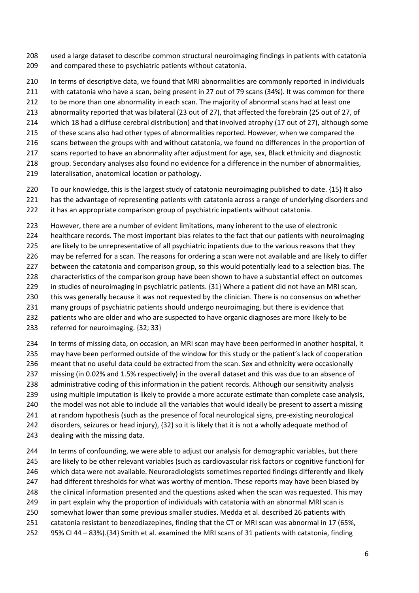- used a large dataset to describe common structural neuroimaging findings in patients with catatonia and compared these to psychiatric patients without catatonia.
- In terms of descriptive data, we found that MRI abnormalities are commonly reported in individuals
- with catatonia who have a scan, being present in 27 out of 79 scans (34%). It was common for there
- 212 to be more than one abnormality in each scan. The majority of abnormal scans had at least one
- abnormality reported that was bilateral (23 out of 27), that affected the forebrain (25 out of 27, of
- which 18 had a diffuse cerebral distribution) and that involved atrophy (17 out of 27), although some
- 215 of these scans also had other types of abnormalities reported. However, when we compared the
- scans between the groups with and without catatonia, we found no differences in the proportion of
- scans reported to have an abnormality after adjustment for age, sex, Black ethnicity and diagnostic
- group. Secondary analyses also found no evidence for a difference in the number of abnormalities,
- lateralisation, anatomical location or pathology.
- To our knowledge, this is the largest study of catatonia neuroimaging published to date. {15} It also
- has the advantage of representing patients with catatonia across a range of underlying disorders and
- it has an appropriate comparison group of psychiatric inpatients without catatonia.
- However, there are a number of evident limitations, many inherent to the use of electronic
- healthcare records. The most important bias relates to the fact that our patients with neuroimaging
- 225 are likely to be unrepresentative of all psychiatric inpatients due to the various reasons that they
- may be referred for a scan. The reasons for ordering a scan were not available and are likely to differ
- 227 between the catatonia and comparison group, so this would potentially lead to a selection bias. The
- characteristics of the comparison group have been shown to have a substantial effect on outcomes
- in studies of neuroimaging in psychiatric patients. {31} Where a patient did not have an MRI scan,
- this was generally because it was not requested by the clinician. There is no consensus on whether
- many groups of psychiatric patients should undergo neuroimaging, but there is evidence that
- patients who are older and who are suspected to have organic diagnoses are more likely to be
- referred for neuroimaging. {32; 33}
- In terms of missing data, on occasion, an MRI scan may have been performed in another hospital, it
- may have been performed outside of the window for this study or the patient's lack of cooperation
- meant that no useful data could be extracted from the scan. Sex and ethnicity were occasionally
- missing (in 0.02% and 1.5% respectively) in the overall dataset and this was due to an absence of
- administrative coding of this information in the patient records. Although our sensitivity analysis using multiple imputation is likely to provide a more accurate estimate than complete case analysis,
- 240 the model was not able to include all the variables that would ideally be present to assert a missing
- at random hypothesis (such as the presence of focal neurological signs, pre-existing neurological
- disorders, seizures or head injury), {32} so it is likely that it is not a wholly adequate method of
- dealing with the missing data.
- In terms of confounding, we were able to adjust our analysis for demographic variables, but there are likely to be other relevant variables (such as cardiovascular risk factors or cognitive function) for which data were not available. Neuroradiologists sometimes reported findings differently and likely 247 had different thresholds for what was worthy of mention. These reports may have been biased by the clinical information presented and the questions asked when the scan was requested. This may in part explain why the proportion of individuals with catatonia with an abnormal MRI scan is somewhat lower than some previous smaller studies. Medda et al. described 26 patients with catatonia resistant to benzodiazepines, finding that the CT or MRI scan was abnormal in 17 (65%, 95% CI 44 – 83%).{34} Smith et al. examined the MRI scans of 31 patients with catatonia, finding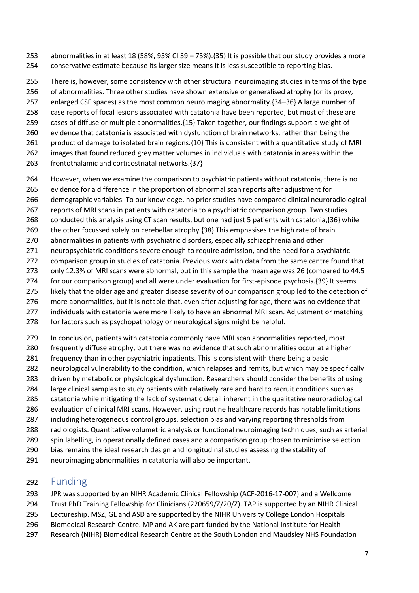- abnormalities in at least 18 (58%, 95% CI 39 75%).{35} It is possible that our study provides a more conservative estimate because its larger size means it is less susceptible to reporting bias.
- There is, however, some consistency with other structural neuroimaging studies in terms of the type
- of abnormalities. Three other studies have shown extensive or generalised atrophy (or its proxy,
- enlarged CSF spaces) as the most common neuroimaging abnormality.{34–36} A large number of
- case reports of focal lesions associated with catatonia have been reported, but most of these are
- cases of diffuse or multiple abnormalities.{15} Taken together, our findings support a weight of
- evidence that catatonia is associated with dysfunction of brain networks, rather than being the
- product of damage to isolated brain regions.{10} This is consistent with a quantitative study of MRI
- images that found reduced grey matter volumes in individuals with catatonia in areas within the
- frontothalamic and corticostriatal networks.{37}
- However, when we examine the comparison to psychiatric patients without catatonia, there is no
- evidence for a difference in the proportion of abnormal scan reports after adjustment for
- demographic variables. To our knowledge, no prior studies have compared clinical neuroradiological
- reports of MRI scans in patients with catatonia to a psychiatric comparison group. Two studies
- 268 conducted this analysis using CT scan results, but one had just 5 patients with catatonia, {36} while
- the other focussed solely on cerebellar atrophy.{38} This emphasises the high rate of brain
- abnormalities in patients with psychiatric disorders, especially schizophrenia and other
- neuropsychiatric conditions severe enough to require admission, and the need for a psychiatric
- comparison group in studies of catatonia. Previous work with data from the same centre found that
- only 12.3% of MRI scans were abnormal, but in this sample the mean age was 26 (compared to 44.5
- for our comparison group) and all were under evaluation for first-episode psychosis.{39} It seems
- 275 likely that the older age and greater disease severity of our comparison group led to the detection of
- more abnormalities, but it is notable that, even after adjusting for age, there was no evidence that
- 277 individuals with catatonia were more likely to have an abnormal MRI scan. Adjustment or matching
- for factors such as psychopathology or neurological signs might be helpful.
- In conclusion, patients with catatonia commonly have MRI scan abnormalities reported, most
- frequently diffuse atrophy, but there was no evidence that such abnormalities occur at a higher
- frequency than in other psychiatric inpatients. This is consistent with there being a basic
- neurological vulnerability to the condition, which relapses and remits, but which may be specifically
- driven by metabolic or physiological dysfunction. Researchers should consider the benefits of using
- large clinical samples to study patients with relatively rare and hard to recruit conditions such as
- catatonia while mitigating the lack of systematic detail inherent in the qualitative neuroradiological
- evaluation of clinical MRI scans. However, using routine healthcare records has notable limitations
- including heterogeneous control groups, selection bias and varying reporting thresholds from
- radiologists. Quantitative volumetric analysis or functional neuroimaging techniques, such as arterial
- spin labelling, in operationally defined cases and a comparison group chosen to minimise selection
- bias remains the ideal research design and longitudinal studies assessing the stability of
- neuroimaging abnormalities in catatonia will also be important.

# Funding

- JPR was supported by an NIHR Academic Clinical Fellowship (ACF-2016-17-007) and a Wellcome
- Trust PhD Training Fellowship for Clinicians (220659/Z/20/Z). TAP is supported by an NIHR Clinical
- Lectureship. MSZ, GL and ASD are supported by the NIHR University College London Hospitals
- Biomedical Research Centre. MP and AK are part-funded by the National Institute for Health
- Research (NIHR) Biomedical Research Centre at the South London and Maudsley NHS Foundation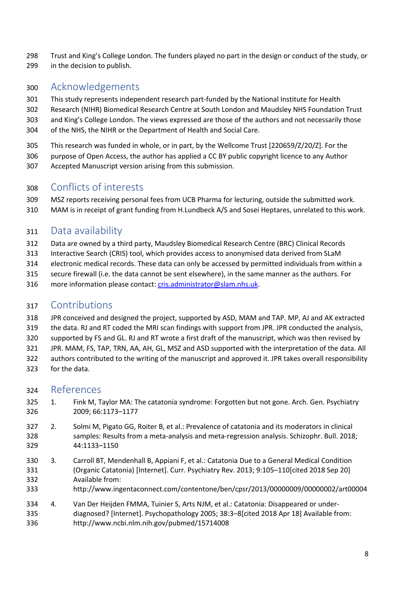Trust and King's College London. The funders played no part in the design or conduct of the study, or in the decision to publish.

# Acknowledgements

This study represents independent research part-funded by the National Institute for Health

- Research (NIHR) Biomedical Research Centre at South London and Maudsley NHS Foundation Trust and King's College London. The views expressed are those of the authors and not necessarily those of the NHS, the NIHR or the Department of Health and Social Care.
- This research was funded in whole, or in part, by the Wellcome Trust [220659/Z/20/Z]. For the
- purpose of Open Access, the author has applied a CC BY public copyright licence to any Author
- Accepted Manuscript version arising from this submission.

# Conflicts of interests

 MSZ reports receiving personal fees from UCB Pharma for lecturing, outside the submitted work. MAM is in receipt of grant funding from H.Lundbeck A/S and Sosei Heptares, unrelated to this work.

# Data availability

- Data are owned by a third party, Maudsley Biomedical Research Centre (BRC) Clinical Records
- Interactive Search (CRIS) tool, which provides access to anonymised data derived from SLaM
- electronic medical records. These data can only be accessed by permitted individuals from within a
- secure firewall (i.e. the data cannot be sent elsewhere), in the same manner as the authors. For
- more information please contact: cris.administrator@slam.nhs.uk.

# Contributions

- JPR conceived and designed the project, supported by ASD, MAM and TAP. MP, AJ and AK extracted
- the data. RJ and RT coded the MRI scan findings with support from JPR. JPR conducted the analysis,
- supported by FS and GL. RJ and RT wrote a first draft of the manuscript, which was then revised by
- JPR. MAM, FS, TAP, TRN, AA, AH, GL, MSZ and ASD supported with the interpretation of the data. All
- authors contributed to the writing of the manuscript and approved it. JPR takes overall responsibility
- for the data.

# References

- 1. Fink M, Taylor MA: The catatonia syndrome: Forgotten but not gone. Arch. Gen. Psychiatry 2009; 66:1173–1177
- 2. Solmi M, Pigato GG, Roiter B, et al.: Prevalence of catatonia and its moderators in clinical samples: Results from a meta-analysis and meta-regression analysis. Schizophr. Bull. 2018; 44:1133–1150
- 3. Carroll BT, Mendenhall B, Appiani F, et al.: Catatonia Due to a General Medical Condition (Organic Catatonia) [Internet]. Curr. Psychiatry Rev. 2013; 9:105–110[cited 2018 Sep 20] Available from:
- http://www.ingentaconnect.com/contentone/ben/cpsr/2013/00000009/00000002/art00004
- 4. Van Der Heijden FMMA, Tuinier S, Arts NJM, et al.: Catatonia: Disappeared or under- diagnosed? [Internet]. Psychopathology 2005; 38:3–8[cited 2018 Apr 18] Available from: http://www.ncbi.nlm.nih.gov/pubmed/15714008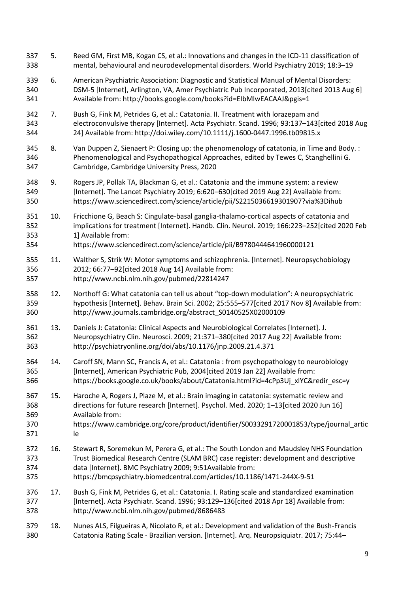5. Reed GM, First MB, Kogan CS, et al.: Innovations and changes in the ICD-11 classification of mental, behavioural and neurodevelopmental disorders. World Psychiatry 2019; 18:3–19 6. American Psychiatric Association: Diagnostic and Statistical Manual of Mental Disorders: DSM-5 [Internet], Arlington, VA, Amer Psychiatric Pub Incorporated, 2013[cited 2013 Aug 6] Available from: http://books.google.com/books?id=EIbMlwEACAAJ&pgis=1 7. Bush G, Fink M, Petrides G, et al.: Catatonia. II. Treatment with lorazepam and electroconvulsive therapy [Internet]. Acta Psychiatr. Scand. 1996; 93:137–143[cited 2018 Aug 24] Available from: http://doi.wiley.com/10.1111/j.1600-0447.1996.tb09815.x 8. Van Duppen Z, Sienaert P: Closing up: the phenomenology of catatonia, in Time and Body. : Phenomenological and Psychopathogical Approaches, edited by Tewes C, Stanghellini G. Cambridge, Cambridge University Press, 2020 9. Rogers JP, Pollak TA, Blackman G, et al.: Catatonia and the immune system: a review [Internet]. The Lancet Psychiatry 2019; 6:620–630[cited 2019 Aug 22] Available from: https://www.sciencedirect.com/science/article/pii/S2215036619301907?via%3Dihub 10. Fricchione G, Beach S: Cingulate-basal ganglia-thalamo-cortical aspects of catatonia and implications for treatment [Internet]. Handb. Clin. Neurol. 2019; 166:223–252[cited 2020 Feb 1] Available from: https://www.sciencedirect.com/science/article/pii/B9780444641960000121 11. Walther S, Strik W: Motor symptoms and schizophrenia. [Internet]. Neuropsychobiology 2012; 66:77–92[cited 2018 Aug 14] Available from: http://www.ncbi.nlm.nih.gov/pubmed/22814247 12. Northoff G: What catatonia can tell us about "top-down modulation": A neuropsychiatric hypothesis [Internet]. Behav. Brain Sci. 2002; 25:555–577[cited 2017 Nov 8] Available from: http://www.journals.cambridge.org/abstract\_S0140525X02000109 13. Daniels J: Catatonia: Clinical Aspects and Neurobiological Correlates [Internet]. J. Neuropsychiatry Clin. Neurosci. 2009; 21:371–380[cited 2017 Aug 22] Available from: http://psychiatryonline.org/doi/abs/10.1176/jnp.2009.21.4.371 14. Caroff SN, Mann SC, Francis A, et al.: Catatonia : from psychopathology to neurobiology [Internet], American Psychiatric Pub, 2004[cited 2019 Jan 22] Available from: https://books.google.co.uk/books/about/Catatonia.html?id=4cPp3Uj\_xlYC&redir\_esc=y 15. Haroche A, Rogers J, Plaze M, et al.: Brain imaging in catatonia: systematic review and directions for future research [Internet]. Psychol. Med. 2020; 1–13[cited 2020 Jun 16] Available from: https://www.cambridge.org/core/product/identifier/S0033291720001853/type/journal\_artic le 16. Stewart R, Soremekun M, Perera G, et al.: The South London and Maudsley NHS Foundation Trust Biomedical Research Centre (SLAM BRC) case register: development and descriptive data [Internet]. BMC Psychiatry 2009; 9:51Available from: https://bmcpsychiatry.biomedcentral.com/articles/10.1186/1471-244X-9-51 17. Bush G, Fink M, Petrides G, et al.: Catatonia. I. Rating scale and standardized examination [Internet]. Acta Psychiatr. Scand. 1996; 93:129–136[cited 2018 Apr 18] Available from: http://www.ncbi.nlm.nih.gov/pubmed/8686483 18. Nunes ALS, Filgueiras A, Nicolato R, et al.: Development and validation of the Bush-Francis Catatonia Rating Scale - Brazilian version. [Internet]. Arq. Neuropsiquiatr. 2017; 75:44–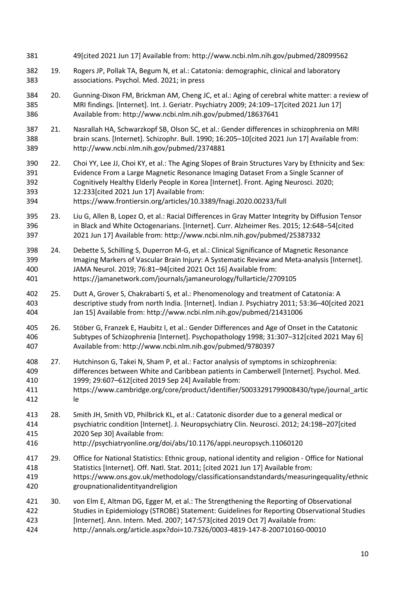| 381                             |     | 49[cited 2021 Jun 17] Available from: http://www.ncbi.nlm.nih.gov/pubmed/28099562                                                                                                                                                                                                                                                                                                                  |
|---------------------------------|-----|----------------------------------------------------------------------------------------------------------------------------------------------------------------------------------------------------------------------------------------------------------------------------------------------------------------------------------------------------------------------------------------------------|
| 382<br>383                      | 19. | Rogers JP, Pollak TA, Begum N, et al.: Catatonia: demographic, clinical and laboratory<br>associations. Psychol. Med. 2021; in press                                                                                                                                                                                                                                                               |
| 384<br>385<br>386               | 20. | Gunning-Dixon FM, Brickman AM, Cheng JC, et al.: Aging of cerebral white matter: a review of<br>MRI findings. [Internet]. Int. J. Geriatr. Psychiatry 2009; 24:109-17[cited 2021 Jun 17]<br>Available from: http://www.ncbi.nlm.nih.gov/pubmed/18637641                                                                                                                                            |
| 387<br>388<br>389               | 21. | Nasrallah HA, Schwarzkopf SB, Olson SC, et al.: Gender differences in schizophrenia on MRI<br>brain scans. [Internet]. Schizophr. Bull. 1990; 16:205-10[cited 2021 Jun 17] Available from:<br>http://www.ncbi.nlm.nih.gov/pubmed/2374881                                                                                                                                                           |
| 390<br>391<br>392<br>393<br>394 | 22. | Choi YY, Lee JJ, Choi KY, et al.: The Aging Slopes of Brain Structures Vary by Ethnicity and Sex:<br>Evidence From a Large Magnetic Resonance Imaging Dataset From a Single Scanner of<br>Cognitively Healthy Elderly People in Korea [Internet]. Front. Aging Neurosci. 2020;<br>12:233 [cited 2021 Jun 17] Available from:<br>https://www.frontiersin.org/articles/10.3389/fnagi.2020.00233/full |
| 395<br>396<br>397               | 23. | Liu G, Allen B, Lopez O, et al.: Racial Differences in Gray Matter Integrity by Diffusion Tensor<br>in Black and White Octogenarians. [Internet]. Curr. Alzheimer Res. 2015; 12:648-54[cited<br>2021 Jun 17] Available from: http://www.ncbi.nlm.nih.gov/pubmed/25387332                                                                                                                           |
| 398<br>399<br>400<br>401        | 24. | Debette S, Schilling S, Duperron M-G, et al.: Clinical Significance of Magnetic Resonance<br>Imaging Markers of Vascular Brain Injury: A Systematic Review and Meta-analysis [Internet].<br>JAMA Neurol. 2019; 76:81-94 [cited 2021 Oct 16] Available from:<br>https://jamanetwork.com/journals/jamaneurology/fullarticle/2709105                                                                  |
| 402<br>403<br>404               | 25. | Dutt A, Grover S, Chakrabarti S, et al.: Phenomenology and treatment of Catatonia: A<br>descriptive study from north India. [Internet]. Indian J. Psychiatry 2011; 53:36-40[cited 2021<br>Jan 15] Available from: http://www.ncbi.nlm.nih.gov/pubmed/21431006                                                                                                                                      |
| 405<br>406<br>407               | 26. | Stöber G, Franzek E, Haubitz I, et al.: Gender Differences and Age of Onset in the Catatonic<br>Subtypes of Schizophrenia [Internet]. Psychopathology 1998; 31:307-312[cited 2021 May 6]<br>Available from: http://www.ncbi.nlm.nih.gov/pubmed/9780397                                                                                                                                             |
| 408<br>409<br>410<br>411<br>412 | 27. | Hutchinson G, Takei N, Sham P, et al.: Factor analysis of symptoms in schizophrenia:<br>differences between White and Caribbean patients in Camberwell [Internet]. Psychol. Med.<br>1999; 29:607-612[cited 2019 Sep 24] Available from:<br>https://www.cambridge.org/core/product/identifier/S0033291799008430/type/journal_artic<br>le                                                            |
| 413<br>414<br>415<br>416        | 28. | Smith JH, Smith VD, Philbrick KL, et al.: Catatonic disorder due to a general medical or<br>psychiatric condition [Internet]. J. Neuropsychiatry Clin. Neurosci. 2012; 24:198-207 [cited<br>2020 Sep 30] Available from:<br>http://psychiatryonline.org/doi/abs/10.1176/appi.neuropsych.11060120                                                                                                   |
| 417<br>418<br>419<br>420        | 29. | Office for National Statistics: Ethnic group, national identity and religion - Office for National<br>Statistics [Internet]. Off. Natl. Stat. 2011; [cited 2021 Jun 17] Available from:<br>https://www.ons.gov.uk/methodology/classificationsandstandards/measuringequality/ethnic<br>groupnationalidentityandreligion                                                                             |
| 421<br>422<br>423<br>424        | 30. | von Elm E, Altman DG, Egger M, et al.: The Strengthening the Reporting of Observational<br>Studies in Epidemiology (STROBE) Statement: Guidelines for Reporting Observational Studies<br>[Internet]. Ann. Intern. Med. 2007; 147:573[cited 2019 Oct 7] Available from:<br>http://annals.org/article.aspx?doi=10.7326/0003-4819-147-8-200710160-00010                                               |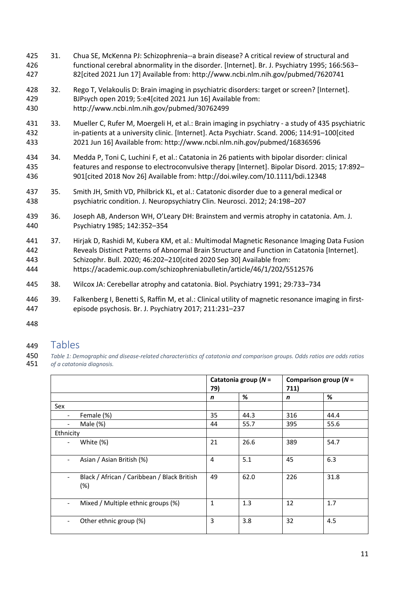- 31. Chua SE, McKenna PJ: Schizophrenia--a brain disease? A critical review of structural and functional cerebral abnormality in the disorder. [Internet]. Br. J. Psychiatry 1995; 166:563– 82[cited 2021 Jun 17] Available from: http://www.ncbi.nlm.nih.gov/pubmed/7620741
- 32. Rego T, Velakoulis D: Brain imaging in psychiatric disorders: target or screen? [Internet]. BJPsych open 2019; 5:e4[cited 2021 Jun 16] Available from: http://www.ncbi.nlm.nih.gov/pubmed/30762499
- 33. Mueller C, Rufer M, Moergeli H, et al.: Brain imaging in psychiatry a study of 435 psychiatric in-patients at a university clinic. [Internet]. Acta Psychiatr. Scand. 2006; 114:91–100[cited 2021 Jun 16] Available from: http://www.ncbi.nlm.nih.gov/pubmed/16836596
- 34. Medda P, Toni C, Luchini F, et al.: Catatonia in 26 patients with bipolar disorder: clinical features and response to electroconvulsive therapy [Internet]. Bipolar Disord. 2015; 17:892– 901[cited 2018 Nov 26] Available from: http://doi.wiley.com/10.1111/bdi.12348
- 35. Smith JH, Smith VD, Philbrick KL, et al.: Catatonic disorder due to a general medical or psychiatric condition. J. Neuropsychiatry Clin. Neurosci. 2012; 24:198–207
- 36. Joseph AB, Anderson WH, O'Leary DH: Brainstem and vermis atrophy in catatonia. Am. J. Psychiatry 1985; 142:352–354
- 37. Hirjak D, Rashidi M, Kubera KM, et al.: Multimodal Magnetic Resonance Imaging Data Fusion Reveals Distinct Patterns of Abnormal Brain Structure and Function in Catatonia [Internet]. Schizophr. Bull. 2020; 46:202–210[cited 2020 Sep 30] Available from: https://academic.oup.com/schizophreniabulletin/article/46/1/202/5512576
- 38. Wilcox JA: Cerebellar atrophy and catatonia. Biol. Psychiatry 1991; 29:733–734
- 39. Falkenberg I, Benetti S, Raffin M, et al.: Clinical utility of magnetic resonance imaging in first-episode psychosis. Br. J. Psychiatry 2017; 211:231–237
- 

## Tables

 *Table 1: Demographic and disease-related characteristics of catatonia and comparison groups. Odds ratios are odds ratios of a catatonia diagnosis.*

|               |                                                    | Catatonia group ( $N =$<br>79) |      | Comparison group ( $N =$<br>711) |      |
|---------------|----------------------------------------------------|--------------------------------|------|----------------------------------|------|
|               |                                                    | n                              | %    | n                                | %    |
| Sex           |                                                    |                                |      |                                  |      |
|               | Female (%)                                         | 35                             | 44.3 | 316                              | 44.4 |
|               | Male $(\%)$                                        | 44                             | 55.7 | 395                              | 55.6 |
| Ethnicity     |                                                    |                                |      |                                  |      |
|               | White (%)                                          | 21                             | 26.6 | 389                              | 54.7 |
|               | Asian / Asian British (%)                          | 4                              | 5.1  | 45                               | 6.3  |
| $\frac{1}{2}$ | Black / African / Caribbean / Black British<br>(%) | 49                             | 62.0 | 226                              | 31.8 |
|               | Mixed / Multiple ethnic groups (%)                 | $\mathbf{1}$                   | 1.3  | 12                               | 1.7  |
| $\frac{1}{2}$ | Other ethnic group (%)                             | 3                              | 3.8  | 32                               | 4.5  |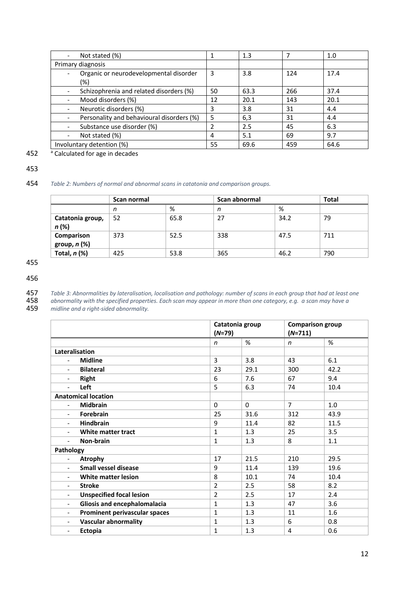| Not stated (%)                                | 1  | 1.3  |     | 1.0  |
|-----------------------------------------------|----|------|-----|------|
| Primary diagnosis                             |    |      |     |      |
| Organic or neurodevelopmental disorder<br>(%) | 3  | 3.8  | 124 | 17.4 |
| Schizophrenia and related disorders (%)       | 50 | 63.3 | 266 | 37.4 |
| Mood disorders (%)                            | 12 | 20.1 | 143 | 20.1 |
| Neurotic disorders (%)                        | 3  | 3.8  | 31  | 4.4  |
| Personality and behavioural disorders (%)     | 5  | 6,3  | 31  | 4.4  |
| Substance use disorder (%)                    |    | 2.5  | 45  | 6.3  |
| Not stated (%)                                | 4  | 5.1  | 69  | 9.7  |
| Involuntary detention (%)                     | 55 | 69.6 | 459 | 64.6 |

452 **a** Calculated for age in decades

#### 453

#### 454 *Table 2: Numbers of normal and abnormal scans in catatonia and comparison groups.*

|                             | Scan normal |      | Scan abnormal |      | <b>Total</b> |
|-----------------------------|-------------|------|---------------|------|--------------|
|                             | n           | %    | n             | %    |              |
| Catatonia group,<br>$n(\%)$ | -52         | 65.8 | 27            | 34.2 | 79           |
| Comparison<br>group, n (%)  | 373         | 52.5 | 338           | 47.5 | 711          |
| Total, $n$ (%)              | 425         | 53.8 | 365           | 46.2 | 790          |

455

456

457 *Table 3: Abnormalities by lateralisation, localisation and pathology: number of scans in each group that had at least one*  458 *abnormality with the specified properties. Each scan may appear in more than one category, e.g. a scan may have a*  459 *midline and a right-sided abnormality.*

|                                                             | Catatonia group<br>$(N=79)$ |          | $(N=711)$      | <b>Comparison group</b> |
|-------------------------------------------------------------|-----------------------------|----------|----------------|-------------------------|
|                                                             | $\mathsf{n}$                | %        | n              | %                       |
| Lateralisation                                              |                             |          |                |                         |
| <b>Midline</b><br>$\blacksquare$                            | 3                           | 3.8      | 43             | 6.1                     |
| <b>Bilateral</b><br>$\overline{\phantom{0}}$                | 23                          | 29.1     | 300            | 42.2                    |
| <b>Right</b><br>$\overline{\phantom{0}}$                    | 6                           | 7.6      | 67             | 9.4                     |
| Left<br>$\blacksquare$                                      | 5                           | 6.3      | 74             | 10.4                    |
| <b>Anatomical location</b>                                  |                             |          |                |                         |
| <b>Midbrain</b><br>$\blacksquare$                           | $\Omega$                    | $\Omega$ | $\overline{7}$ | $1.0\,$                 |
| Forebrain                                                   | 25                          | 31.6     | 312            | 43.9                    |
| <b>Hindbrain</b>                                            | 9                           | 11.4     | 82             | 11.5                    |
| White matter tract                                          | $\mathbf{1}$                | 1.3      | 25             | 3.5                     |
| Non-brain<br>$\blacksquare$                                 | 1                           | 1.3      | 8              | 1.1                     |
| Pathology                                                   |                             |          |                |                         |
| Atrophy                                                     | 17                          | 21.5     | 210            | 29.5                    |
| <b>Small vessel disease</b><br>$\overline{\phantom{0}}$     | 9                           | 11.4     | 139            | 19.6                    |
| <b>White matter lesion</b>                                  | 8                           | 10.1     | 74             | 10.4                    |
| <b>Stroke</b><br>$\overline{\phantom{a}}$                   | $\overline{2}$              | 2.5      | 58             | 8.2                     |
| <b>Unspecified focal lesion</b><br>$\overline{\phantom{0}}$ | $\overline{2}$              | 2.5      | 17             | 2.4                     |
| Gliosis and encephalomalacia<br>$\overline{\phantom{0}}$    | 1                           | 1.3      | 47             | 3.6                     |
| Prominent perivascular spaces<br>$\overline{\phantom{0}}$   | 1                           | 1.3      | 11             | 1.6                     |
| <b>Vascular abnormality</b><br>$\overline{\phantom{a}}$     | 1                           | 1.3      | 6              | 0.8                     |
| Ectopia<br>$\overline{\phantom{a}}$                         | $\mathbf{1}$                | 1.3      | 4              | 0.6                     |